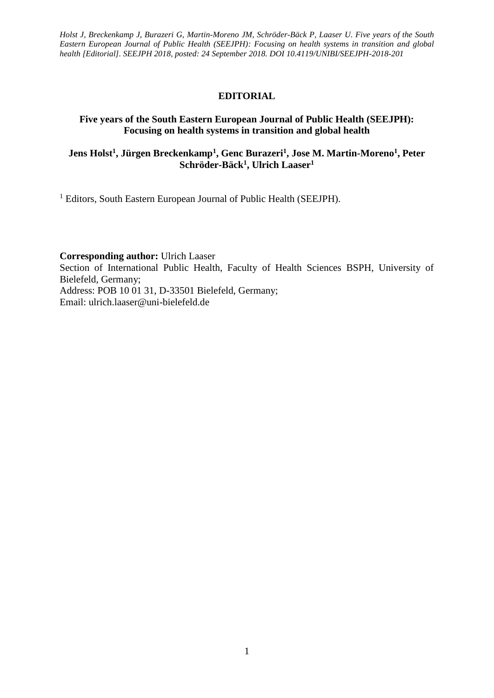*Holst J, Breckenkamp J, Burazeri G, Martin-Moreno JM, Schröder-Bäck P, Laaser U. Five years of the South Eastern European Journal of Public Health (SEEJPH): Focusing on health systems in transition and global health [Editorial]. SEEJPH 2018, posted: 24 September 2018. DOI 10.4119/UNIBI/SEEJPH-2018-201*

## **EDITORIAL**

## **Five years of the South Eastern European Journal of Public Health (SEEJPH): Focusing on health systems in transition and global health**

## **Jens Holst<sup>1</sup> , Jürgen Breckenkamp<sup>1</sup> , Genc Burazeri<sup>1</sup> , Jose M. Martin-Moreno<sup>1</sup> , Peter Schröder-Bäck<sup>1</sup> , Ulrich Laaser<sup>1</sup>**

<sup>1</sup> Editors, South Eastern European Journal of Public Health (SEEJPH).

**Corresponding author:** Ulrich Laaser

Section of International Public Health, Faculty of Health Sciences BSPH, University of Bielefeld, Germany;

Address: POB 10 01 31, D-33501 Bielefeld, Germany; Email: [ulrich.laaser@uni-bielefeld.de](mailto:ulrich.laaser@uni-bielefeld.de)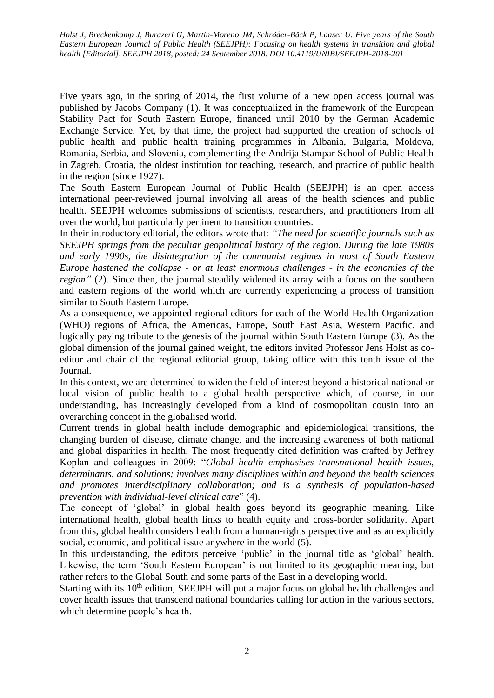*Holst J, Breckenkamp J, Burazeri G, Martin-Moreno JM, Schröder-Bäck P, Laaser U. Five years of the South Eastern European Journal of Public Health (SEEJPH): Focusing on health systems in transition and global health [Editorial]. SEEJPH 2018, posted: 24 September 2018. DOI 10.4119/UNIBI/SEEJPH-2018-201*

Five years ago, in the spring of 2014, the first volume of a new open access journal was published by Jacobs Company (1). It was conceptualized in the framework of the European Stability Pact for South Eastern Europe, financed until 2010 by the German Academic Exchange Service. Yet, by that time, the project had supported the creation of schools of public health and public health training programmes in Albania, Bulgaria, Moldova, Romania, Serbia, and Slovenia, complementing the Andrija Stampar School of Public Health in Zagreb, Croatia, the oldest institution for teaching, research, and practice of public health in the region (since 1927).

The South Eastern European Journal of Public Health (SEEJPH) is an open access international peer-reviewed journal involving all areas of the health sciences and public health. SEEJPH welcomes submissions of scientists, researchers, and practitioners from all over the world, but particularly pertinent to transition countries.

In their introductory editorial, the editors wrote that: *"The need for scientific journals such as SEEJPH springs from the peculiar geopolitical history of the region. During the late 1980s and early 1990s, the disintegration of the communist regimes in most of South Eastern Europe hastened the collapse - or at least enormous challenges - in the economies of the region*" (2). Since then, the journal steadily widened its array with a focus on the southern and eastern regions of the world which are currently experiencing a process of transition similar to South Eastern Europe.

As a consequence, we appointed regional editors for each of the World Health Organization (WHO) regions of Africa, the Americas, Europe, South East Asia, Western Pacific, and logically paying tribute to the genesis of the journal within South Eastern Europe (3). As the global dimension of the journal gained weight, the editors invited Professor Jens Holst as coeditor and chair of the regional editorial group, taking office with this tenth issue of the Journal.

In this context, we are determined to widen the field of interest beyond a historical national or local vision of public health to a global health perspective which, of course, in our understanding, has increasingly developed from a kind of cosmopolitan cousin into an overarching concept in the globalised world.

Current trends in global health include demographic and epidemiological transitions, the changing burden of disease, climate change, and the increasing awareness of both national and global disparities in health. The most frequently cited definition was crafted by Jeffrey Koplan and colleagues in 2009: "*Global health emphasises transnational health issues, determinants, and solutions; involves many disciplines within and beyond the health sciences and promotes interdisciplinary collaboration; and is a synthesis of population-based prevention with individual-level clinical care*" (4).

The concept of 'global' in global health goes beyond its geographic meaning. Like international health, global health links to health equity and cross-border solidarity. Apart from this, global health considers health from a human-rights perspective and as an explicitly social, economic, and political issue anywhere in the world (5).

In this understanding, the editors perceive 'public' in the journal title as 'global' health. Likewise, the term 'South Eastern European' is not limited to its geographic meaning, but rather refers to the Global South and some parts of the East in a developing world.

Starting with its 10<sup>th</sup> edition, SEEJPH will put a major focus on global health challenges and cover health issues that transcend national boundaries calling for action in the various sectors, which determine people's health.